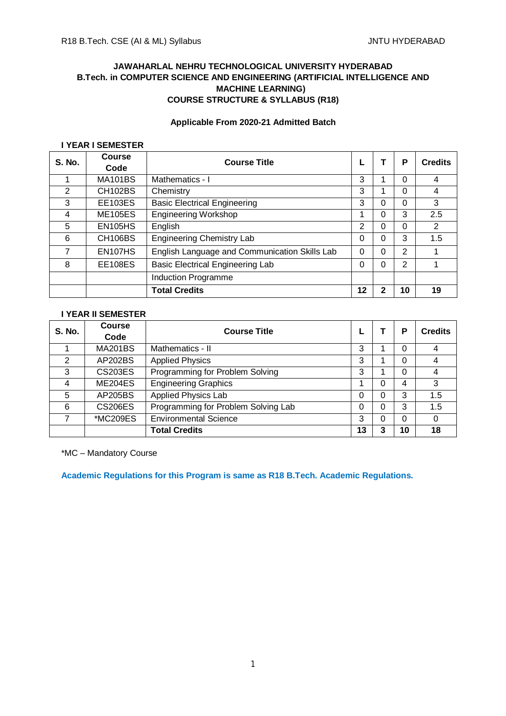## **JAWAHARLAL NEHRU TECHNOLOGICAL UNIVERSITY HYDERABAD B.Tech. in COMPUTER SCIENCE AND ENGINEERING (ARTIFICIAL INTELLIGENCE AND MACHINE LEARNING) COURSE STRUCTURE & SYLLABUS (R18)**

# **Applicable From 2020-21 Admitted Batch**

# **I YEAR I SEMESTER**

| S. No. | Course<br>Code       | <b>Course Title</b>                           |    |   | Ρ  | <b>Credits</b> |
|--------|----------------------|-----------------------------------------------|----|---|----|----------------|
|        | <b>MA101BS</b>       | Mathematics - I                               | 3  |   | 0  | 4              |
| 2      | <b>CH102BS</b>       | Chemistry                                     | 3  |   | 0  | 4              |
| 3      | <b>EE103ES</b>       | <b>Basic Electrical Engineering</b>           | 3  | 0 | 0  | 3              |
| 4      | <b>ME105ES</b>       | <b>Engineering Workshop</b>                   |    | 0 | 3  | 2.5            |
| 5      | <b>EN105HS</b>       | English                                       | 2  | 0 | 0  | 2              |
| 6      | CH <sub>106</sub> BS | <b>Engineering Chemistry Lab</b>              | 0  | 0 | 3  | 1.5            |
| 7      | EN107HS              | English Language and Communication Skills Lab | 0  | 0 | 2  |                |
| 8      | <b>EE108ES</b>       | <b>Basic Electrical Engineering Lab</b>       | 0  | 0 | 2  |                |
|        |                      | Induction Programme                           |    |   |    |                |
|        |                      | <b>Total Credits</b>                          | 12 | 2 | 10 | 19             |

## **I YEAR II SEMESTER**

| <b>S. No.</b> | <b>Course</b><br>Code | <b>Course Title</b>                 |    |   | Р  | <b>Credits</b> |
|---------------|-----------------------|-------------------------------------|----|---|----|----------------|
|               | <b>MA201BS</b>        | Mathematics - II                    | 3  |   | 0  | 4              |
| 2             | AP202BS               | <b>Applied Physics</b>              | 3  |   | 0  | 4              |
| 3             | <b>CS203ES</b>        | Programming for Problem Solving     | 3  |   | 0  | 4              |
| 4             | ME204ES               | <b>Engineering Graphics</b>         |    | ი | 4  | 3              |
| 5             | AP205BS               | <b>Applied Physics Lab</b>          | 0  | N | 3  | 1.5            |
| 6             | <b>CS206ES</b>        | Programming for Problem Solving Lab | 0  | ი | 3  | 1.5            |
|               | *MC209ES              | <b>Environmental Science</b>        | 3  |   | 0  | 0              |
|               |                       | <b>Total Credits</b>                | 13 | 3 | 10 | 18             |

\*MC – Mandatory Course

**Academic Regulations for this Program is same as R18 B.Tech. Academic Regulations.**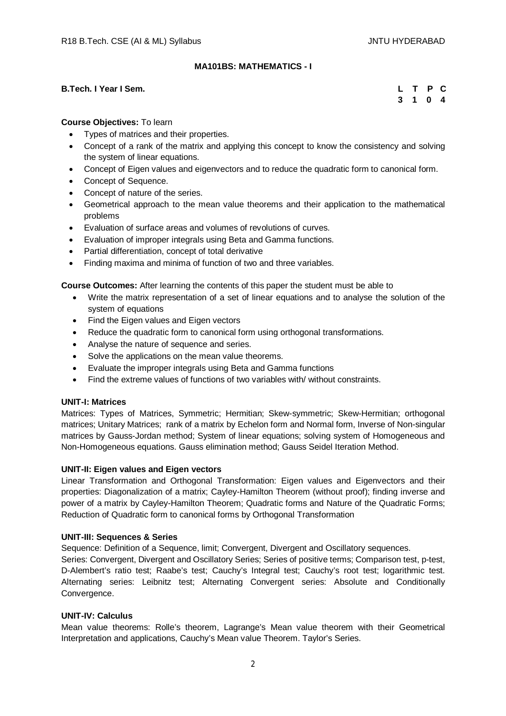## **MA101BS: MATHEMATICS - I**

### **B.Tech. I Year I Sem.**

|  | L T P C |  |
|--|---------|--|
|  | 3 1 0 4 |  |

### **Course Objectives:** To learn

- Types of matrices and their properties.
- Concept of a rank of the matrix and applying this concept to know the consistency and solving the system of linear equations.
- Concept of Eigen values and eigenvectors and to reduce the quadratic form to canonical form.
- Concept of Sequence.
- Concept of nature of the series.
- Geometrical approach to the mean value theorems and their application to the mathematical problems
- Evaluation of surface areas and volumes of revolutions of curves.
- Evaluation of improper integrals using Beta and Gamma functions.
- Partial differentiation, concept of total derivative
- Finding maxima and minima of function of two and three variables.

**Course Outcomes:** After learning the contents of this paper the student must be able to

- Write the matrix representation of a set of linear equations and to analyse the solution of the system of equations
- Find the Eigen values and Eigen vectors
- Reduce the quadratic form to canonical form using orthogonal transformations.
- Analyse the nature of sequence and series.
- Solve the applications on the mean value theorems.
- Evaluate the improper integrals using Beta and Gamma functions
- Find the extreme values of functions of two variables with/ without constraints.

#### **UNIT-I: Matrices**

Matrices: Types of Matrices, Symmetric; Hermitian; Skew-symmetric; Skew-Hermitian; orthogonal matrices; Unitary Matrices; rank of a matrix by Echelon form and Normal form, Inverse of Non-singular matrices by Gauss-Jordan method; System of linear equations; solving system of Homogeneous and Non-Homogeneous equations. Gauss elimination method; Gauss Seidel Iteration Method.

#### **UNIT-II: Eigen values and Eigen vectors**

Linear Transformation and Orthogonal Transformation: Eigen values and Eigenvectors and their properties: Diagonalization of a matrix; Cayley-Hamilton Theorem (without proof); finding inverse and power of a matrix by Cayley-Hamilton Theorem; Quadratic forms and Nature of the Quadratic Forms; Reduction of Quadratic form to canonical forms by Orthogonal Transformation

#### **UNIT-III: Sequences & Series**

Sequence: Definition of a Sequence, limit; Convergent, Divergent and Oscillatory sequences.

Series: Convergent, Divergent and Oscillatory Series; Series of positive terms; Comparison test, p-test, D-Alembert's ratio test; Raabe's test; Cauchy's Integral test; Cauchy's root test; logarithmic test. Alternating series: Leibnitz test; Alternating Convergent series: Absolute and Conditionally Convergence.

#### **UNIT-IV: Calculus**

Mean value theorems: Rolle's theorem, Lagrange's Mean value theorem with their Geometrical Interpretation and applications, Cauchy's Mean value Theorem. Taylor's Series.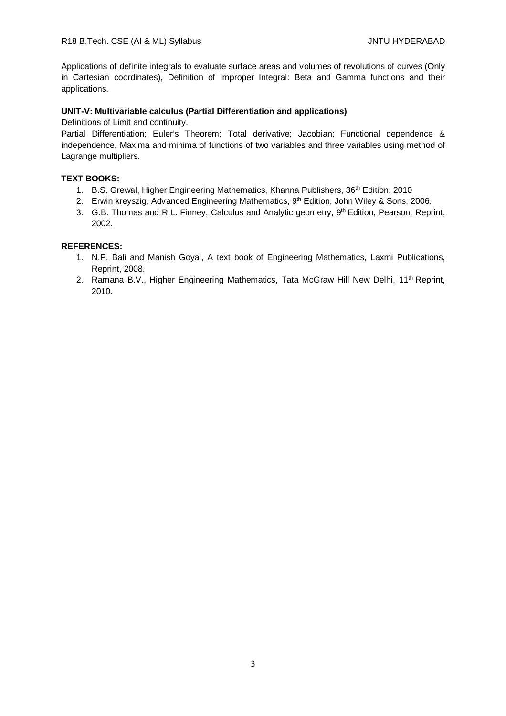Applications of definite integrals to evaluate surface areas and volumes of revolutions of curves (Only in Cartesian coordinates), Definition of Improper Integral: Beta and Gamma functions and their applications.

### **UNIT-V: Multivariable calculus (Partial Differentiation and applications)**

Definitions of Limit and continuity.

Partial Differentiation; Euler's Theorem; Total derivative; Jacobian; Functional dependence & independence, Maxima and minima of functions of two variables and three variables using method of Lagrange multipliers.

### **TEXT BOOKS:**

- 1. B.S. Grewal, Higher Engineering Mathematics, Khanna Publishers, 36<sup>th</sup> Edition, 2010
- 2. Erwin kreyszig, Advanced Engineering Mathematics, 9<sup>th</sup> Edition, John Wiley & Sons, 2006.
- 3. G.B. Thomas and R.L. Finney, Calculus and Analytic geometry, 9<sup>th</sup> Edition, Pearson, Reprint, 2002.

### **REFERENCES:**

- 1. N.P. Bali and Manish Goyal, A text book of Engineering Mathematics, Laxmi Publications, Reprint, 2008.
- 2. Ramana B.V., Higher Engineering Mathematics, Tata McGraw Hill New Delhi, 11<sup>th</sup> Reprint, 2010.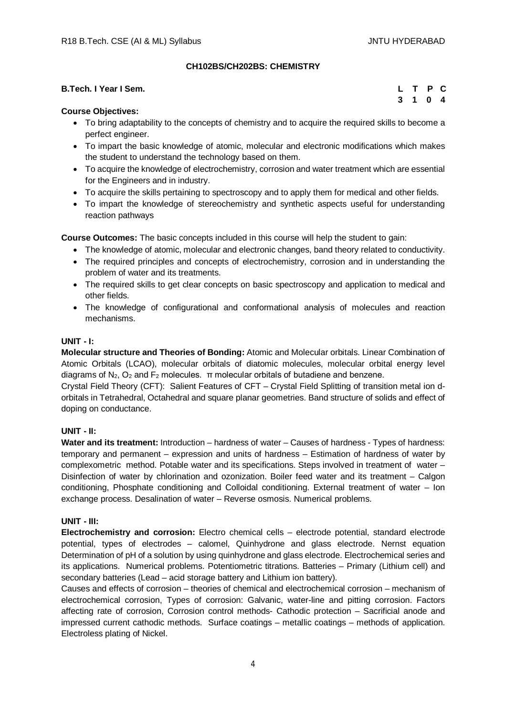## **CH102BS/CH202BS: CHEMISTRY**

| B.Tech. I Year I Sem. | L T P C |  |  |
|-----------------------|---------|--|--|
|                       | 3 1 0 4 |  |  |

### **Course Objectives:**

- To bring adaptability to the concepts of chemistry and to acquire the required skills to become a perfect engineer.
- To impart the basic knowledge of atomic, molecular and electronic modifications which makes the student to understand the technology based on them.
- To acquire the knowledge of electrochemistry, corrosion and water treatment which are essential for the Engineers and in industry.
- To acquire the skills pertaining to spectroscopy and to apply them for medical and other fields.
- To impart the knowledge of stereochemistry and synthetic aspects useful for understanding reaction pathways

**Course Outcomes:** The basic concepts included in this course will help the student to gain:

- The knowledge of atomic, molecular and electronic changes, band theory related to conductivity.
- The required principles and concepts of electrochemistry, corrosion and in understanding the problem of water and its treatments.
- The required skills to get clear concepts on basic spectroscopy and application to medical and other fields.
- The knowledge of configurational and conformational analysis of molecules and reaction mechanisms.

### **UNIT - I:**

**Molecular structure and Theories of Bonding:** Atomic and Molecular orbitals. Linear Combination of Atomic Orbitals (LCAO), molecular orbitals of diatomic molecules, molecular orbital energy level diagrams of  $N_2$ ,  $O_2$  and  $F_2$  molecules.  $\pi$  molecular orbitals of butadiene and benzene.

Crystal Field Theory (CFT): Salient Features of CFT – Crystal Field Splitting of transition metal ion dorbitals in Tetrahedral, Octahedral and square planar geometries. Band structure of solids and effect of doping on conductance.

## **UNIT - II:**

**Water and its treatment:** Introduction – hardness of water – Causes of hardness - Types of hardness: temporary and permanent – expression and units of hardness – Estimation of hardness of water by complexometric method. Potable water and its specifications. Steps involved in treatment of water – Disinfection of water by chlorination and ozonization. Boiler feed water and its treatment – Calgon conditioning, Phosphate conditioning and Colloidal conditioning. External treatment of water – Ion exchange process. Desalination of water – Reverse osmosis. Numerical problems.

## **UNIT - III:**

**Electrochemistry and corrosion:** Electro chemical cells – electrode potential, standard electrode potential, types of electrodes – calomel, Quinhydrone and glass electrode. Nernst equation Determination of pH of a solution by using quinhydrone and glass electrode. Electrochemical series and its applications. Numerical problems. Potentiometric titrations. Batteries – Primary (Lithium cell) and secondary batteries (Lead – acid storage battery and Lithium ion battery).

Causes and effects of corrosion – theories of chemical and electrochemical corrosion – mechanism of electrochemical corrosion, Types of corrosion: Galvanic, water-line and pitting corrosion. Factors affecting rate of corrosion, Corrosion control methods- Cathodic protection – Sacrificial anode and impressed current cathodic methods. Surface coatings – metallic coatings – methods of application. Electroless plating of Nickel.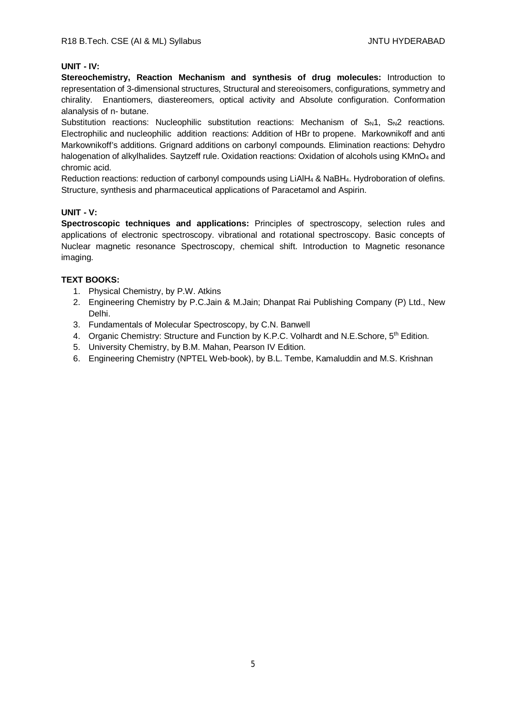## **UNIT - IV:**

**Stereochemistry, Reaction Mechanism and synthesis of drug molecules:** Introduction to representation of 3-dimensional structures, Structural and stereoisomers, configurations, symmetry and chirality. Enantiomers, diastereomers, optical activity and Absolute configuration. Conformation alanalysis of n- butane.

Substitution reactions: Nucleophilic substitution reactions: Mechanism of  $S_N1$ ,  $S_N2$  reactions. Electrophilic and nucleophilic addition reactions: Addition of HBr to propene. Markownikoff and anti Markownikoff's additions. Grignard additions on carbonyl compounds. Elimination reactions: Dehydro halogenation of alkylhalides. Saytzeff rule. Oxidation reactions: Oxidation of alcohols using KMnO<sub>4</sub> and chromic acid.

Reduction reactions: reduction of carbonyl compounds using LiAlH<sup>4</sup> & NaBH4. Hydroboration of olefins. Structure, synthesis and pharmaceutical applications of Paracetamol and Aspirin.

### **UNIT - V:**

**Spectroscopic techniques and applications:** Principles of spectroscopy, selection rules and applications of electronic spectroscopy. vibrational and rotational spectroscopy. Basic concepts of Nuclear magnetic resonance Spectroscopy, chemical shift. Introduction to Magnetic resonance imaging.

## **TEXT BOOKS:**

- 1. Physical Chemistry, by P.W. Atkins
- 2. Engineering Chemistry by P.C.Jain & M.Jain; Dhanpat Rai Publishing Company (P) Ltd., New Delhi.
- 3. Fundamentals of Molecular Spectroscopy, by C.N. Banwell
- 4. Organic Chemistry: Structure and Function by K.P.C. Volhardt and N.E. Schore, 5<sup>th</sup> Edition.
- 5. University Chemistry, by B.M. Mahan, Pearson IV Edition.
- 6. Engineering Chemistry (NPTEL Web-book), by B.L. Tembe, Kamaluddin and M.S. Krishnan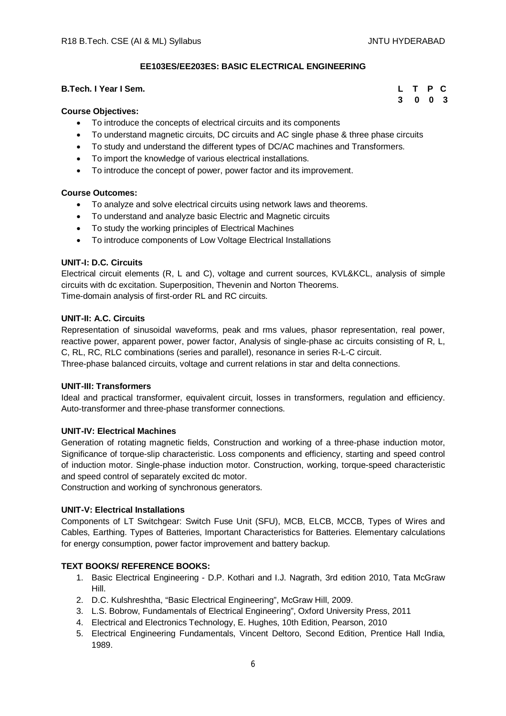**3 0 0 3**

## **EE103ES/EE203ES: BASIC ELECTRICAL ENGINEERING**

## **B.Tech. I Year I Sem. L T P C**

#### **Course Objectives:**

- To introduce the concepts of electrical circuits and its components
- To understand magnetic circuits, DC circuits and AC single phase & three phase circuits
- To study and understand the different types of DC/AC machines and Transformers.
- To import the knowledge of various electrical installations.
- To introduce the concept of power, power factor and its improvement.

### **Course Outcomes:**

- To analyze and solve electrical circuits using network laws and theorems.
- To understand and analyze basic Electric and Magnetic circuits
- To study the working principles of Electrical Machines
- To introduce components of Low Voltage Electrical Installations

### **UNIT-I: D.C. Circuits**

Electrical circuit elements (R, L and C), voltage and current sources, KVL&KCL, analysis of simple circuits with dc excitation. Superposition, Thevenin and Norton Theorems. Time-domain analysis of first-order RL and RC circuits.

#### **UNIT-II: A.C. Circuits**

Representation of sinusoidal waveforms, peak and rms values, phasor representation, real power, reactive power, apparent power, power factor, Analysis of single-phase ac circuits consisting of R, L, C, RL, RC, RLC combinations (series and parallel), resonance in series R-L-C circuit. Three-phase balanced circuits, voltage and current relations in star and delta connections.

#### **UNIT-III: Transformers**

Ideal and practical transformer, equivalent circuit, losses in transformers, regulation and efficiency. Auto-transformer and three-phase transformer connections.

#### **UNIT-IV: Electrical Machines**

Generation of rotating magnetic fields, Construction and working of a three-phase induction motor, Significance of torque-slip characteristic. Loss components and efficiency, starting and speed control of induction motor. Single-phase induction motor. Construction, working, torque-speed characteristic and speed control of separately excited dc motor.

Construction and working of synchronous generators.

#### **UNIT-V: Electrical Installations**

Components of LT Switchgear: Switch Fuse Unit (SFU), MCB, ELCB, MCCB, Types of Wires and Cables, Earthing. Types of Batteries, Important Characteristics for Batteries. Elementary calculations for energy consumption, power factor improvement and battery backup.

#### **TEXT BOOKS/ REFERENCE BOOKS:**

- 1. Basic Electrical Engineering D.P. Kothari and I.J. Nagrath, 3rd edition 2010, Tata McGraw Hill.
- 2. D.C. Kulshreshtha, "Basic Electrical Engineering", McGraw Hill, 2009.
- 3. L.S. Bobrow, Fundamentals of Electrical Engineering", Oxford University Press, 2011
- 4. Electrical and Electronics Technology, E. Hughes, 10th Edition, Pearson, 2010
- 5. Electrical Engineering Fundamentals, Vincent Deltoro, Second Edition, Prentice Hall India, 1989.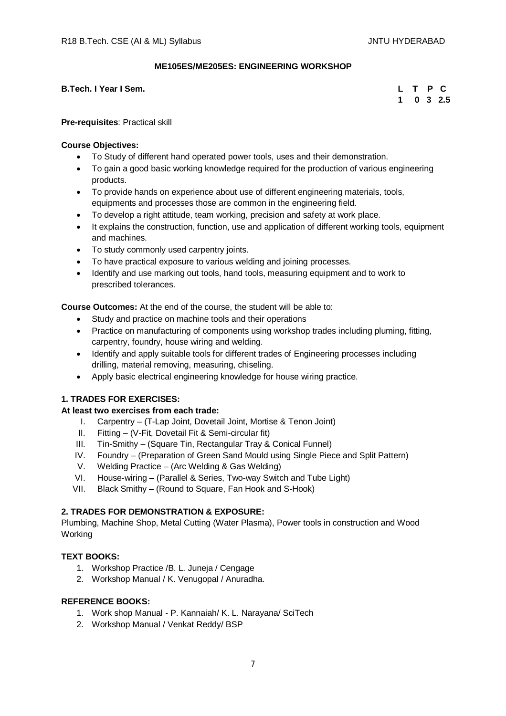### **ME105ES/ME205ES: ENGINEERING WORKSHOP**

**B.Tech. I Year I Sem.** 

|  |  | L T P C           |
|--|--|-------------------|
|  |  | $1 \t0 \t3 \t2.5$ |

**Pre-requisites**: Practical skill

### **Course Objectives:**

- To Study of different hand operated power tools, uses and their demonstration.
- To gain a good basic working knowledge required for the production of various engineering products.
- To provide hands on experience about use of different engineering materials, tools, equipments and processes those are common in the engineering field.
- To develop a right attitude, team working, precision and safety at work place.
- It explains the construction, function, use and application of different working tools, equipment and machines.
- To study commonly used carpentry joints.
- To have practical exposure to various welding and joining processes.
- Identify and use marking out tools, hand tools, measuring equipment and to work to prescribed tolerances.

**Course Outcomes:** At the end of the course, the student will be able to:

- Study and practice on machine tools and their operations
- Practice on manufacturing of components using workshop trades including pluming, fitting, carpentry, foundry, house wiring and welding.
- Identify and apply suitable tools for different trades of Engineering processes including drilling, material removing, measuring, chiseling.
- Apply basic electrical engineering knowledge for house wiring practice.

## **1. TRADES FOR EXERCISES:**

## **At least two exercises from each trade:**

- I. Carpentry (T-Lap Joint, Dovetail Joint, Mortise & Tenon Joint)
- II. Fitting (V-Fit, Dovetail Fit & Semi-circular fit)
- III. Tin-Smithy (Square Tin, Rectangular Tray & Conical Funnel)
- IV. Foundry (Preparation of Green Sand Mould using Single Piece and Split Pattern)
- V. Welding Practice (Arc Welding & Gas Welding)
- VI. House-wiring (Parallel & Series, Two-way Switch and Tube Light)
- VII. Black Smithy (Round to Square, Fan Hook and S-Hook)

## **2. TRADES FOR DEMONSTRATION & EXPOSURE:**

Plumbing, Machine Shop, Metal Cutting (Water Plasma), Power tools in construction and Wood Working

## **TEXT BOOKS:**

- 1. Workshop Practice /B. L. Juneja / Cengage
- 2. Workshop Manual / K. Venugopal / Anuradha.

- 1. Work shop Manual P. Kannaiah/ K. L. Narayana/ SciTech
- 2. Workshop Manual / Venkat Reddy/ BSP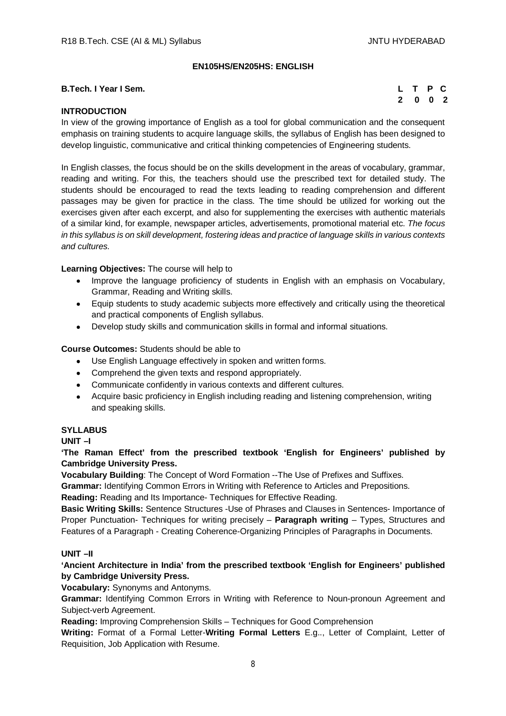## **EN105HS/EN205HS: ENGLISH**

### **B.Tech. I Year I Sem.**

|  | L T P C                     |  |
|--|-----------------------------|--|
|  | $2 \quad 0 \quad 0 \quad 2$ |  |

## **INTRODUCTION**

In view of the growing importance of English as a tool for global communication and the consequent emphasis on training students to acquire language skills, the syllabus of English has been designed to develop linguistic, communicative and critical thinking competencies of Engineering students.

In English classes, the focus should be on the skills development in the areas of vocabulary, grammar, reading and writing. For this, the teachers should use the prescribed text for detailed study. The students should be encouraged to read the texts leading to reading comprehension and different passages may be given for practice in the class. The time should be utilized for working out the exercises given after each excerpt, and also for supplementing the exercises with authentic materials of a similar kind, for example, newspaper articles, advertisements, promotional material etc. *The focus in this syllabus is on skill development, fostering ideas and practice of language skills in various contexts and cultures.*

### **Learning Objectives:** The course will help to

- Improve the language proficiency of students in English with an emphasis on Vocabulary, Grammar, Reading and Writing skills.
- Equip students to study academic subjects more effectively and critically using the theoretical and practical components of English syllabus.
- Develop study skills and communication skills in formal and informal situations.

### **Course Outcomes:** Students should be able to

- Use English Language effectively in spoken and written forms.
- Comprehend the given texts and respond appropriately.
- Communicate confidently in various contexts and different cultures.
- Acquire basic proficiency in English including reading and listening comprehension, writing and speaking skills.

#### **SYLLABUS**

**UNIT –I** 

**'The Raman Effect' from the prescribed textbook 'English for Engineers' published by Cambridge University Press.**

**Vocabulary Building**: The Concept of Word Formation --The Use of Prefixes and Suffixes.

**Grammar:** Identifying Common Errors in Writing with Reference to Articles and Prepositions.

**Reading:** Reading and Its Importance- Techniques for Effective Reading.

**Basic Writing Skills:** Sentence Structures -Use of Phrases and Clauses in Sentences- Importance of Proper Punctuation- Techniques for writing precisely – **Paragraph writing** – Types, Structures and Features of a Paragraph - Creating Coherence-Organizing Principles of Paragraphs in Documents.

## **UNIT –II**

## **'Ancient Architecture in India' from the prescribed textbook 'English for Engineers' published by Cambridge University Press.**

## **Vocabulary:** Synonyms and Antonyms.

**Grammar:** Identifying Common Errors in Writing with Reference to Noun-pronoun Agreement and Subject-verb Agreement.

**Reading:** Improving Comprehension Skills – Techniques for Good Comprehension

**Writing:** Format of a Formal Letter-**Writing Formal Letters** E.g.., Letter of Complaint, Letter of Requisition, Job Application with Resume.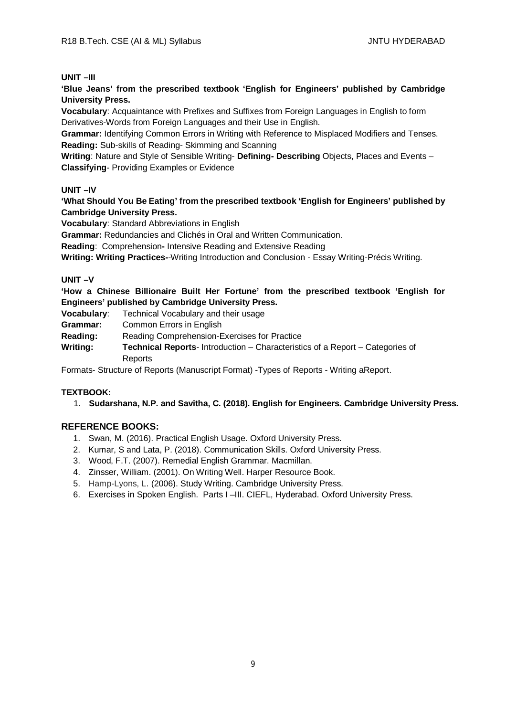#### **UNIT –III**

**'Blue Jeans' from the prescribed textbook 'English for Engineers' published by Cambridge University Press.**

**Vocabulary**: Acquaintance with Prefixes and Suffixes from Foreign Languages in English to form Derivatives-Words from Foreign Languages and their Use in English.

**Grammar:** Identifying Common Errors in Writing with Reference to Misplaced Modifiers and Tenses. **Reading:** Sub-skills of Reading- Skimming and Scanning

**Writing**: Nature and Style of Sensible Writing- **Defining- Describing** Objects, Places and Events – **Classifying**- Providing Examples or Evidence

### **UNIT –IV**

**'What Should You Be Eating' from the prescribed textbook 'English for Engineers' published by Cambridge University Press.**

**Vocabulary**: Standard Abbreviations in English

**Grammar:** Redundancies and Clichés in Oral and Written Communication.

**Reading**: Comprehension**-** Intensive Reading and Extensive Reading

**Writing: Writing Practices-**-Writing Introduction and Conclusion - Essay Writing-Précis Writing.

### **UNIT –V**

**'How a Chinese Billionaire Built Her Fortune' from the prescribed textbook 'English for Engineers' published by Cambridge University Press.**

**Vocabulary**: Technical Vocabulary and their usage

**Grammar:** Common Errors in English

**Reading:** Reading Comprehension-Exercises for Practice

**Writing: Technical Reports**- Introduction – Characteristics of a Report – Categories of Reports

Formats- Structure of Reports (Manuscript Format) -Types of Reports - Writing aReport.

#### **TEXTBOOK:**

1. **Sudarshana, N.P. and Savitha, C. (2018). English for Engineers. Cambridge University Press.**

- 1. Swan, M. (2016). Practical English Usage. Oxford University Press.
- 2. Kumar, S and Lata, P. (2018). Communication Skills. Oxford University Press.
- 3. Wood, F.T. (2007). Remedial English Grammar. Macmillan.
- 4. Zinsser, William. (2001). On Writing Well. Harper Resource Book.
- 5. Hamp-Lyons, L. (2006). Study Writing. Cambridge University Press.
- 6. Exercises in Spoken English. Parts I –III. CIEFL, Hyderabad. Oxford University Press.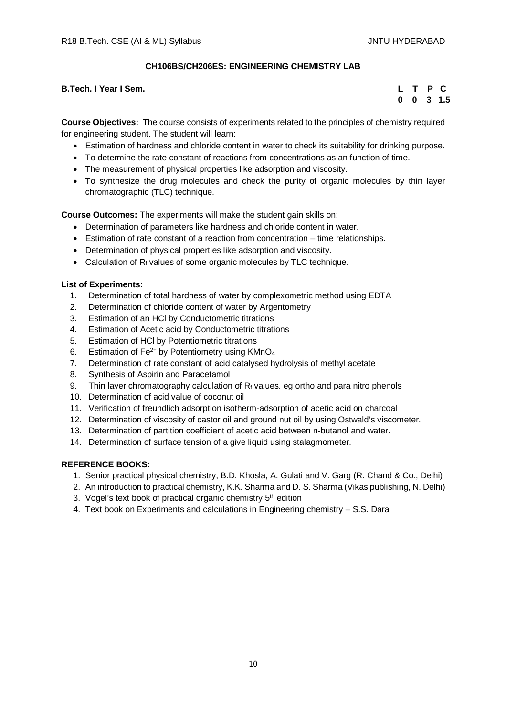## **CH106BS/CH206ES: ENGINEERING CHEMISTRY LAB**

**B.Tech. I Year I Sem.** 

|  |  | L T P C              |
|--|--|----------------------|
|  |  | $0 \t 0 \t 3 \t 1.5$ |

**Course Objectives:** The course consists of experiments related to the principles of chemistry required for engineering student. The student will learn:

- Estimation of hardness and chloride content in water to check its suitability for drinking purpose.
- To determine the rate constant of reactions from concentrations as an function of time.
- The measurement of physical properties like adsorption and viscosity.
- To synthesize the drug molecules and check the purity of organic molecules by thin layer chromatographic (TLC) technique.

**Course Outcomes:** The experiments will make the student gain skills on:

- Determination of parameters like hardness and chloride content in water.
- Estimation of rate constant of a reaction from concentration time relationships.
- Determination of physical properties like adsorption and viscosity.
- Calculation of  $R_f$  values of some organic molecules by TLC technique.

### **List of Experiments:**

- 1. Determination of total hardness of water by complexometric method using EDTA
- 2. Determination of chloride content of water by Argentometry
- 3. Estimation of an HCl by Conductometric titrations
- 4. Estimation of Acetic acid by Conductometric titrations
- 5. Estimation of HCl by Potentiometric titrations
- 6. Estimation of  $Fe^{2+}$  by Potentiometry using KMnO<sub>4</sub>
- 7. Determination of rate constant of acid catalysed hydrolysis of methyl acetate
- 8. Synthesis of Aspirin and Paracetamol
- 9. Thin layer chromatography calculation of  $R_f$  values. eg ortho and para nitro phenols
- 10. Determination of acid value of coconut oil
- 11. Verification of freundlich adsorption isotherm-adsorption of acetic acid on charcoal
- 12. Determination of viscosity of castor oil and ground nut oil by using Ostwald's viscometer.
- 13. Determination of partition coefficient of acetic acid between n-butanol and water.
- 14. Determination of surface tension of a give liquid using stalagmometer.

- 1. Senior practical physical chemistry, B.D. Khosla, A. Gulati and V. Garg (R. Chand & Co., Delhi)
- 2. An introduction to practical chemistry, K.K. Sharma and D. S. Sharma (Vikas publishing, N. Delhi)
- 3. Vogel's text book of practical organic chemistry 5<sup>th</sup> edition
- 4. Text book on Experiments and calculations in Engineering chemistry S.S. Dara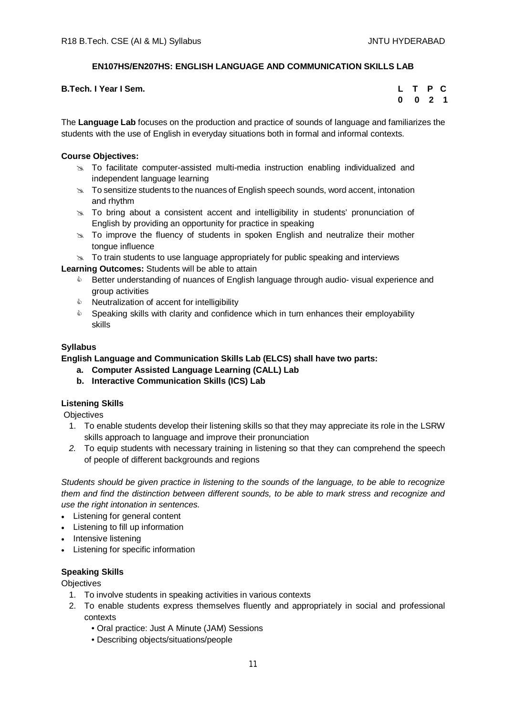## **EN107HS/EN207HS: ENGLISH LANGUAGE AND COMMUNICATION SKILLS LAB**

| <b>B.Tech. I Year I Sem.</b> | L T P C                     |  |
|------------------------------|-----------------------------|--|
|                              | $0 \quad 0 \quad 2 \quad 1$ |  |

The **Language Lab** focuses on the production and practice of sounds of language and familiarizes the students with the use of English in everyday situations both in formal and informal contexts.

## **Course Objectives:**

- $\approx$  To facilitate computer-assisted multi-media instruction enabling individualized and independent language learning
- $\infty$  To sensitize students to the nuances of English speech sounds, word accent, intonation and rhythm
- $\geq$  To bring about a consistent accent and intelligibility in students' pronunciation of English by providing an opportunity for practice in speaking
- $\geq$  To improve the fluency of students in spoken English and neutralize their mother tongue influence
- $\infty$  To train students to use language appropriately for public speaking and interviews

**Learning Outcomes:** Students will be able to attain

- **EXECT** Better understanding of nuances of English language through audio-visual experience and group activities
- $\triangle$  Neutralization of accent for intelligibility
- $\bullet$  Speaking skills with clarity and confidence which in turn enhances their employability skills

## **Syllabus**

## **English Language and Communication Skills Lab (ELCS) shall have two parts:**

- **a. Computer Assisted Language Learning (CALL) Lab**
- **b. Interactive Communication Skills (ICS) Lab**

## **Listening Skills**

**Objectives** 

- 1. To enable students develop their listening skills so that they may appreciate its role in the LSRW skills approach to language and improve their pronunciation
- *2.* To equip students with necessary training in listening so that they can comprehend the speech of people of different backgrounds and regions

*Students should be given practice in listening to the sounds of the language, to be able to recognize them and find the distinction between different sounds, to be able to mark stress and recognize and use the right intonation in sentences.*

- Listening for general content
- Listening to fill up information
- Intensive listening
- Listening for specific information

## **Speaking Skills**

**Objectives** 

- 1. To involve students in speaking activities in various contexts
- 2. To enable students express themselves fluently and appropriately in social and professional contexts
	- Oral practice: Just A Minute (JAM) Sessions
	- Describing objects/situations/people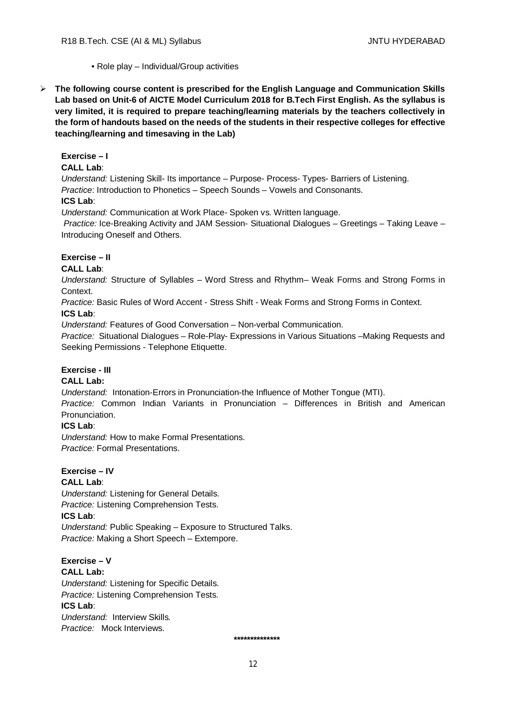- Role play Individual/Group activities
- **The following course content is prescribed for the English Language and Communication Skills Lab based on Unit-6 of AICTE Model Curriculum 2018 for B.Tech First English. As the syllabus is very limited, it is required to prepare teaching/learning materials by the teachers collectively in the form of handouts based on the needs of the students in their respective colleges for effective teaching/learning and timesaving in the Lab)**

## **Exercise – I**

### **CALL Lab**:

*Understand:* Listening Skill- Its importance – Purpose- Process- Types- Barriers of Listening. *Practice*: Introduction to Phonetics – Speech Sounds – Vowels and Consonants. **ICS Lab**:

*Understand:* Communication at Work Place*-* Spoken vs. Written language.

*Practice:* Ice-Breaking Activity and JAM Session- Situational Dialogues – Greetings – Taking Leave – Introducing Oneself and Others.

## **Exercise – II**

## **CALL Lab**:

*Understand:* Structure of Syllables – Word Stress and Rhythm– Weak Forms and Strong Forms in Context.

*Practice:* Basic Rules of Word Accent - Stress Shift - Weak Forms and Strong Forms in Context. **ICS Lab**:

*Understand:* Features of Good Conversation – Non-verbal Communication.

*Practice:* Situational Dialogues – Role-Play- Expressions in Various Situations –Making Requests and Seeking Permissions - Telephone Etiquette.

## **Exercise - III**

## **CALL Lab:**

*Understand:* Intonation-Errors in Pronunciation-the Influence of Mother Tongue (MTI).

*Practice:* Common Indian Variants in Pronunciation *–* Differences in British and American Pronunciation.

## **ICS Lab**:

*Understand:* How to make Formal Presentations. *Practice:* Formal Presentations.

#### **Exercise – IV CALL Lab**:

*Understand:* Listening for General Details. *Practice:* Listening Comprehension Tests. **ICS Lab**: *Understand:* Public Speaking – Exposure to Structured Talks. *Practice:* Making a Short Speech – Extempore.

**Exercise – V CALL Lab:** *Understand:* Listening for Specific Details. *Practice:* Listening Comprehension Tests. **ICS Lab**: *Understand:* Interview Skills*. Practice:* Mock Interviews.

 **\*\*\*\*\*\*\*\*\*\*\*\*\*\***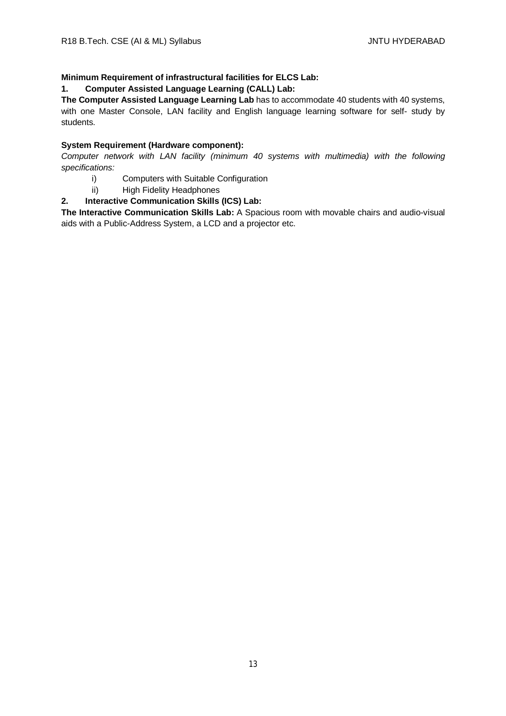## **Minimum Requirement of infrastructural facilities for ELCS Lab:**

## **1. Computer Assisted Language Learning (CALL) Lab:**

**The Computer Assisted Language Learning Lab** has to accommodate 40 students with 40 systems, with one Master Console, LAN facility and English language learning software for self- study by students.

## **System Requirement (Hardware component):**

*Computer network with LAN facility (minimum 40 systems with multimedia) with the following specifications:*

- i) Computers with Suitable Configuration
- ii) High Fidelity Headphones

## **2. Interactive Communication Skills (ICS) Lab:**

**The Interactive Communication Skills Lab:** A Spacious room with movable chairs and audio-visual aids with a Public-Address System, a LCD and a projector etc.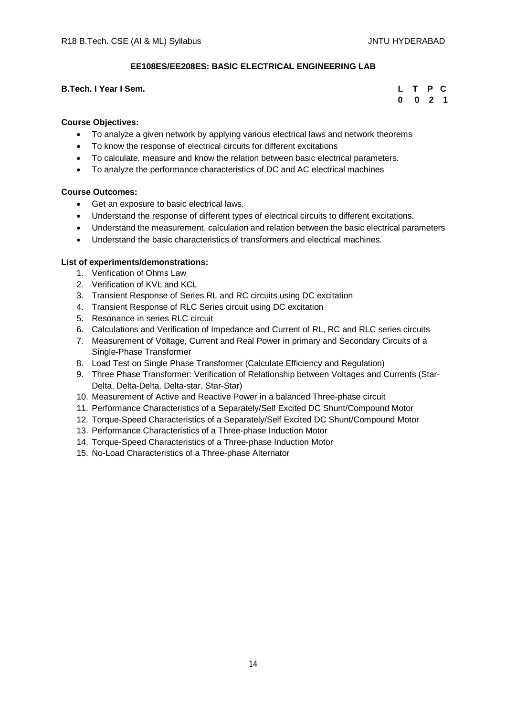## **EE108ES/EE208ES: BASIC ELECTRICAL ENGINEERING LAB**

### **B.Tech. I Year I Sem.**

|  | L T P C   |  |
|--|-----------|--|
|  | $0$ 0 2 1 |  |

### **Course Objectives:**

- To analyze a given network by applying various electrical laws and network theorems
- To know the response of electrical circuits for different excitations
- To calculate, measure and know the relation between basic electrical parameters.
- To analyze the performance characteristics of DC and AC electrical machines

#### **Course Outcomes:**

- Get an exposure to basic electrical laws.
- Understand the response of different types of electrical circuits to different excitations.
- Understand the measurement, calculation and relation between the basic electrical parameters
- Understand the basic characteristics of transformers and electrical machines.

### **List of experiments/demonstrations:**

- 1. Verification of Ohms Law
- 2. Verification of KVL and KCL
- 3. Transient Response of Series RL and RC circuits using DC excitation
- 4. Transient Response of RLC Series circuit using DC excitation
- 5. Resonance in series RLC circuit
- 6. Calculations and Verification of Impedance and Current of RL, RC and RLC series circuits
- 7. Measurement of Voltage, Current and Real Power in primary and Secondary Circuits of a Single-Phase Transformer
- 8. Load Test on Single Phase Transformer (Calculate Efficiency and Regulation)
- 9. Three Phase Transformer: Verification of Relationship between Voltages and Currents (Star-Delta, Delta-Delta, Delta-star, Star-Star)
- 10. Measurement of Active and Reactive Power in a balanced Three-phase circuit
- 11. Performance Characteristics of a Separately/Self Excited DC Shunt/Compound Motor
- 12. Torque-Speed Characteristics of a Separately/Self Excited DC Shunt/Compound Motor
- 13. Performance Characteristics of a Three-phase Induction Motor
- 14. Torque-Speed Characteristics of a Three-phase Induction Motor
- 15. No-Load Characteristics of a Three-phase Alternator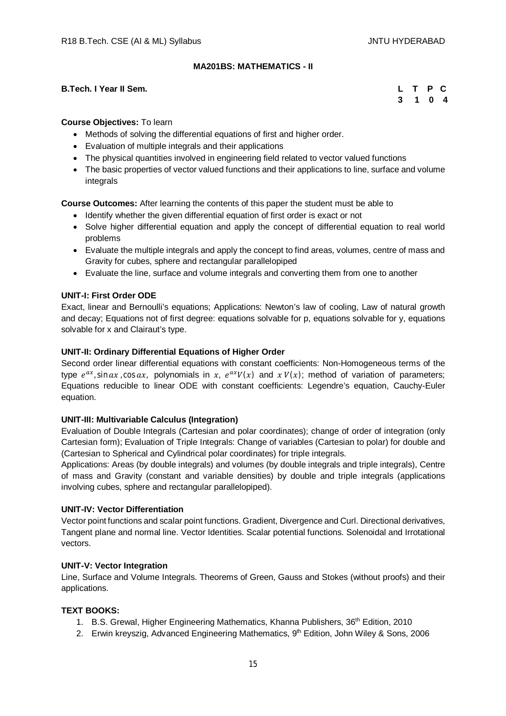## **MA201BS: MATHEMATICS - II**

### **B.Tech. I Year II Sem.**

|  | L T P C |  |
|--|---------|--|
|  | 3 1 0 4 |  |

#### **Course Objectives:** To learn

- Methods of solving the differential equations of first and higher order.
- Evaluation of multiple integrals and their applications
- The physical quantities involved in engineering field related to vector valued functions
- The basic properties of vector valued functions and their applications to line, surface and volume integrals

**Course Outcomes:** After learning the contents of this paper the student must be able to

- Identify whether the given differential equation of first order is exact or not
- Solve higher differential equation and apply the concept of differential equation to real world problems
- Evaluate the multiple integrals and apply the concept to find areas, volumes, centre of mass and Gravity for cubes, sphere and rectangular parallelopiped
- Evaluate the line, surface and volume integrals and converting them from one to another

## **UNIT-I: First Order ODE**

Exact, linear and Bernoulli's equations; Applications: Newton's law of cooling, Law of natural growth and decay; Equations not of first degree: equations solvable for p, equations solvable for y, equations solvable for x and Clairaut's type.

### **UNIT-II: Ordinary Differential Equations of Higher Order**

Second order linear differential equations with constant coefficients: Non-Homogeneous terms of the type  $e^{ax}$ , sin ax, cos ax, polynomials in x,  $e^{ax}V(x)$  and  $x V(x)$ ; method of variation of parameters; Equations reducible to linear ODE with constant coefficients: Legendre's equation, Cauchy-Euler equation.

#### **UNIT-III: Multivariable Calculus (Integration)**

Evaluation of Double Integrals (Cartesian and polar coordinates); change of order of integration (only Cartesian form); Evaluation of Triple Integrals: Change of variables (Cartesian to polar) for double and (Cartesian to Spherical and Cylindrical polar coordinates) for triple integrals.

Applications: Areas (by double integrals) and volumes (by double integrals and triple integrals), Centre of mass and Gravity (constant and variable densities) by double and triple integrals (applications involving cubes, sphere and rectangular parallelopiped).

#### **UNIT-IV: Vector Differentiation**

Vector point functions and scalar point functions. Gradient, Divergence and Curl. Directional derivatives, Tangent plane and normal line. Vector Identities. Scalar potential functions. Solenoidal and Irrotational vectors.

#### **UNIT-V: Vector Integration**

Line, Surface and Volume Integrals. Theorems of Green, Gauss and Stokes (without proofs) and their applications.

#### **TEXT BOOKS:**

- 1. B.S. Grewal, Higher Engineering Mathematics, Khanna Publishers, 36<sup>th</sup> Edition, 2010
- 2. Erwin kreyszig, Advanced Engineering Mathematics, 9<sup>th</sup> Edition, John Wiley & Sons, 2006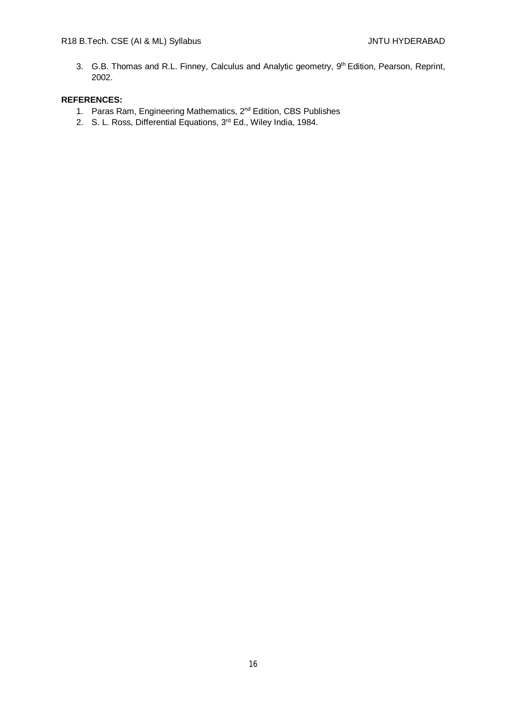3. G.B. Thomas and R.L. Finney, Calculus and Analytic geometry, 9<sup>th</sup> Edition, Pearson, Reprint, 2002.

## **REFERENCES:**

- 1. Paras Ram, Engineering Mathematics, 2nd Edition, CBS Publishes
- 2. S. L. Ross, Differential Equations, 3<sup>rd</sup> Ed., Wiley India, 1984.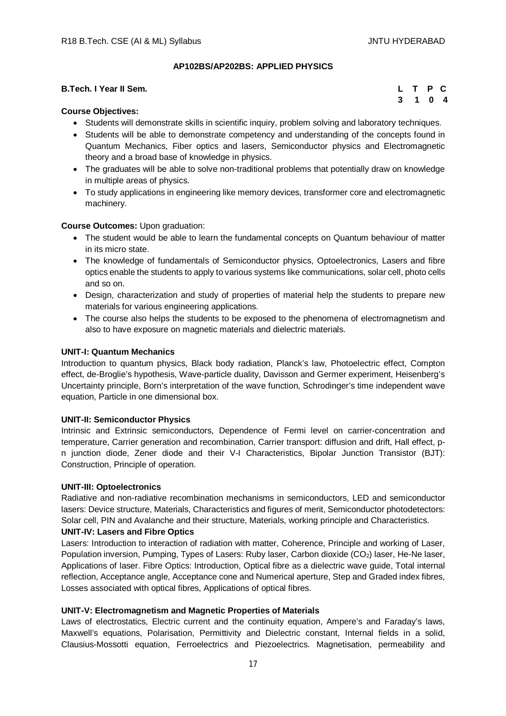## **AP102BS/AP202BS: APPLIED PHYSICS**

| <b>B.Tech. I Year II Sem.</b> | L T P C |  |
|-------------------------------|---------|--|
| $\sim$<br>_ _ _ _             | 3 1 0 4 |  |

### **Course Objectives:**

- Students will demonstrate skills in scientific inquiry, problem solving and laboratory techniques.
- Students will be able to demonstrate competency and understanding of the concepts found in Quantum Mechanics, Fiber optics and lasers, Semiconductor physics and Electromagnetic theory and a broad base of knowledge in physics.
- The graduates will be able to solve non-traditional problems that potentially draw on knowledge in multiple areas of physics.
- To study applications in engineering like memory devices, transformer core and electromagnetic machinery.

### **Course Outcomes:** Upon graduation:

- The student would be able to learn the fundamental concepts on Quantum behaviour of matter in its micro state.
- The knowledge of fundamentals of Semiconductor physics, Optoelectronics, Lasers and fibre optics enable the students to apply to various systems like communications, solar cell, photo cells and so on.
- Design, characterization and study of properties of material help the students to prepare new materials for various engineering applications.
- The course also helps the students to be exposed to the phenomena of electromagnetism and also to have exposure on magnetic materials and dielectric materials.

### **UNIT-I: Quantum Mechanics**

Introduction to quantum physics, Black body radiation, Planck's law, Photoelectric effect, Compton effect, de-Broglie's hypothesis, Wave-particle duality, Davisson and Germer experiment, Heisenberg's Uncertainty principle, Born's interpretation of the wave function, Schrodinger's time independent wave equation, Particle in one dimensional box.

#### **UNIT-II: Semiconductor Physics**

Intrinsic and Extrinsic semiconductors, Dependence of Fermi level on carrier-concentration and temperature, Carrier generation and recombination, Carrier transport: diffusion and drift, Hall effect, pn junction diode, Zener diode and their V-I Characteristics, Bipolar Junction Transistor (BJT): Construction, Principle of operation.

#### **UNIT-III: Optoelectronics**

Radiative and non-radiative recombination mechanisms in semiconductors, LED and semiconductor lasers: Device structure, Materials, Characteristics and figures of merit, Semiconductor photodetectors: Solar cell, PIN and Avalanche and their structure, Materials, working principle and Characteristics.

#### **UNIT-IV: Lasers and Fibre Optics**

Lasers: Introduction to interaction of radiation with matter, Coherence, Principle and working of Laser, Population inversion, Pumping, Types of Lasers: Ruby laser, Carbon dioxide (CO<sub>2</sub>) laser, He-Ne laser, Applications of laser. Fibre Optics: Introduction, Optical fibre as a dielectric wave guide, Total internal reflection, Acceptance angle, Acceptance cone and Numerical aperture, Step and Graded index fibres, Losses associated with optical fibres, Applications of optical fibres.

## **UNIT-V: Electromagnetism and Magnetic Properties of Materials**

Laws of electrostatics, Electric current and the continuity equation, Ampere's and Faraday's laws, Maxwell's equations, Polarisation, Permittivity and Dielectric constant, Internal fields in a solid, Clausius-Mossotti equation, Ferroelectrics and Piezoelectrics. Magnetisation, permeability and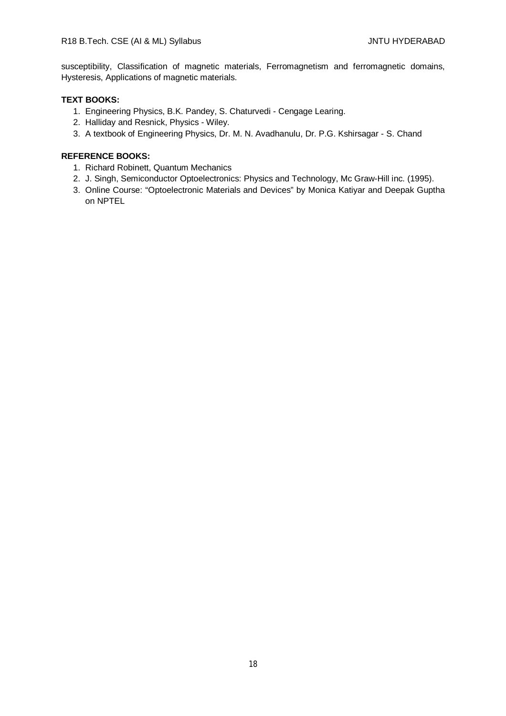susceptibility, Classification of magnetic materials, Ferromagnetism and ferromagnetic domains, Hysteresis, Applications of magnetic materials.

## **TEXT BOOKS:**

- 1. Engineering Physics, B.K. Pandey, S. Chaturvedi Cengage Learing.
- 2. Halliday and Resnick, Physics Wiley.
- 3. A textbook of Engineering Physics, Dr. M. N. Avadhanulu, Dr. P.G. Kshirsagar S. Chand

- 1. Richard Robinett, Quantum Mechanics
- 2. J. Singh, Semiconductor Optoelectronics: Physics and Technology, Mc Graw-Hill inc. (1995).
- 3. Online Course: "Optoelectronic Materials and Devices" by Monica Katiyar and Deepak Guptha on NPTEL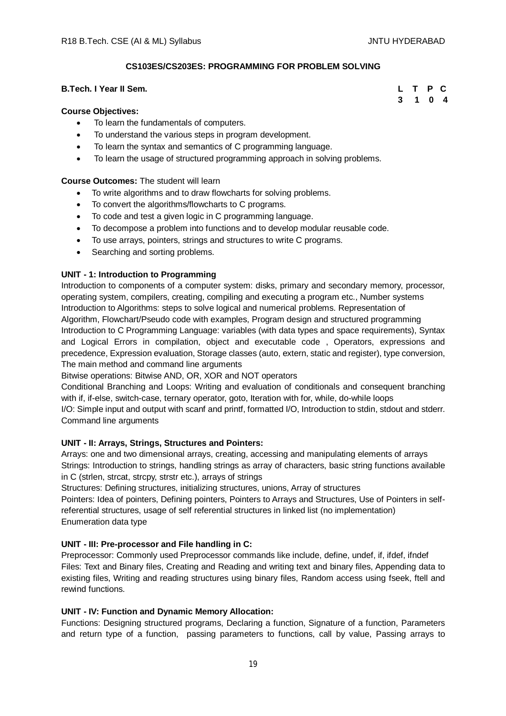## **CS103ES/CS203ES: PROGRAMMING FOR PROBLEM SOLVING**

## **B.Tech. I Year II Sem.**

#### **Course Objectives:**

- To learn the fundamentals of computers.
- To understand the various steps in program development.
- To learn the syntax and semantics of C programming language.
- To learn the usage of structured programming approach in solving problems.

## **Course Outcomes:** The student will learn

- To write algorithms and to draw flowcharts for solving problems.
- To convert the algorithms/flowcharts to C programs.
- To code and test a given logic in C programming language.
- To decompose a problem into functions and to develop modular reusable code.
- To use arrays, pointers, strings and structures to write C programs.
- Searching and sorting problems.

### **UNIT - 1: Introduction to Programming**

Introduction to components of a computer system: disks, primary and secondary memory, processor, operating system, compilers, creating, compiling and executing a program etc., Number systems Introduction to Algorithms: steps to solve logical and numerical problems. Representation of Algorithm, Flowchart/Pseudo code with examples, Program design and structured programming Introduction to C Programming Language: variables (with data types and space requirements), Syntax and Logical Errors in compilation, object and executable code , Operators, expressions and precedence, Expression evaluation, Storage classes (auto, extern, static and register), type conversion, The main method and command line arguments

Bitwise operations: Bitwise AND, OR, XOR and NOT operators

Conditional Branching and Loops: Writing and evaluation of conditionals and consequent branching with if, if-else, switch-case, ternary operator, goto, Iteration with for, while, do-while loops I/O: Simple input and output with scanf and printf, formatted I/O, Introduction to stdin, stdout and stderr.

Command line arguments

### **UNIT - II: Arrays, Strings, Structures and Pointers:**

Arrays: one and two dimensional arrays, creating, accessing and manipulating elements of arrays Strings: Introduction to strings, handling strings as array of characters, basic string functions available in C (strlen, strcat, strcpy, strstr etc.), arrays of strings

Structures: Defining structures, initializing structures, unions, Array of structures

Pointers: Idea of pointers, Defining pointers, Pointers to Arrays and Structures, Use of Pointers in selfreferential structures, usage of self referential structures in linked list (no implementation) Enumeration data type

#### **UNIT - III: Pre-processor and File handling in C:**

Preprocessor: Commonly used Preprocessor commands like include, define, undef, if, ifdef, ifndef Files: Text and Binary files, Creating and Reading and writing text and binary files, Appending data to existing files, Writing and reading structures using binary files, Random access using fseek, ftell and rewind functions.

### **UNIT - IV: Function and Dynamic Memory Allocation:**

Functions: Designing structured programs, Declaring a function, Signature of a function, Parameters and return type of a function, passing parameters to functions, call by value, Passing arrays to

|  | L T P C |  |
|--|---------|--|
|  | 3 1 0 4 |  |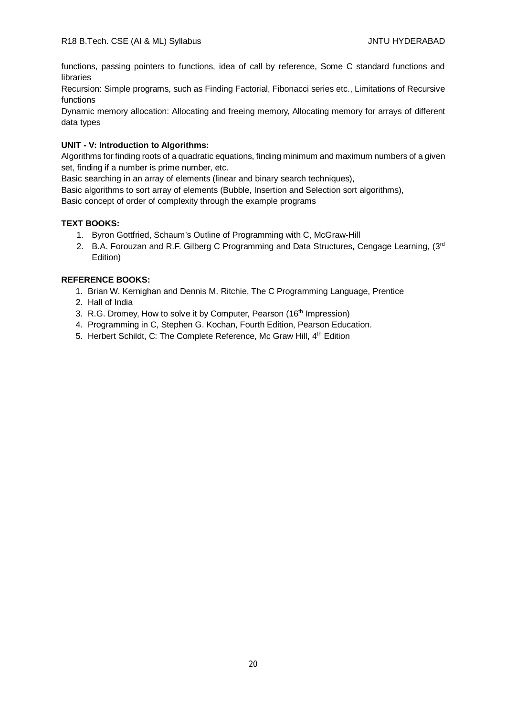functions, passing pointers to functions, idea of call by reference, Some C standard functions and libraries

Recursion: Simple programs, such as Finding Factorial, Fibonacci series etc., Limitations of Recursive functions

Dynamic memory allocation: Allocating and freeing memory, Allocating memory for arrays of different data types

## **UNIT - V: Introduction to Algorithms:**

Algorithms for finding roots of a quadratic equations, finding minimum and maximum numbers of a given set, finding if a number is prime number, etc.

Basic searching in an array of elements (linear and binary search techniques),

Basic algorithms to sort array of elements (Bubble, Insertion and Selection sort algorithms),

Basic concept of order of complexity through the example programs

## **TEXT BOOKS:**

- 1. Byron Gottfried, Schaum's Outline of Programming with C, McGraw-Hill
- 2. B.A. Forouzan and R.F. Gilberg C Programming and Data Structures, Cengage Learning, (3rd Edition)

- 1. Brian W. Kernighan and Dennis M. Ritchie, The C Programming Language, Prentice
- 2. Hall of India
- 3. R.G. Dromey, How to solve it by Computer, Pearson (16<sup>th</sup> Impression)
- 4. Programming in C, Stephen G. Kochan, Fourth Edition, Pearson Education.
- 5. Herbert Schildt, C: The Complete Reference, Mc Graw Hill, 4<sup>th</sup> Edition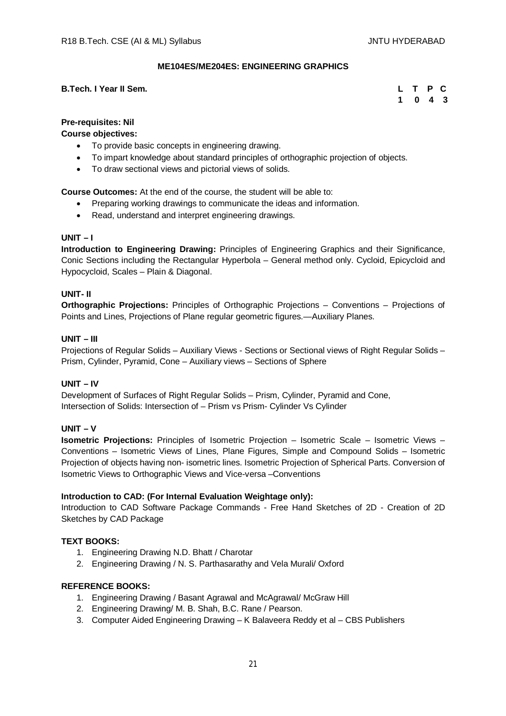## **ME104ES/ME204ES: ENGINEERING GRAPHICS**

### **B.Tech. I Year II Sem.**

|  | L T P C                     |  |
|--|-----------------------------|--|
|  | $1 \quad 0 \quad 4 \quad 3$ |  |

## **Pre-requisites: Nil**

**Course objectives:**

- To provide basic concepts in engineering drawing.
- To impart knowledge about standard principles of orthographic projection of objects.
- To draw sectional views and pictorial views of solids.

**Course Outcomes:** At the end of the course, the student will be able to:

- Preparing working drawings to communicate the ideas and information.
- Read, understand and interpret engineering drawings.

## **UNIT – I**

**Introduction to Engineering Drawing:** Principles of Engineering Graphics and their Significance, Conic Sections including the Rectangular Hyperbola – General method only. Cycloid, Epicycloid and Hypocycloid, Scales – Plain & Diagonal.

### **UNIT- II**

**Orthographic Projections:** Principles of Orthographic Projections – Conventions – Projections of Points and Lines, Projections of Plane regular geometric figures.—Auxiliary Planes.

### **UNIT – III**

Projections of Regular Solids – Auxiliary Views - Sections or Sectional views of Right Regular Solids – Prism, Cylinder, Pyramid, Cone – Auxiliary views – Sections of Sphere

#### **UNIT – IV**

Development of Surfaces of Right Regular Solids – Prism, Cylinder, Pyramid and Cone, Intersection of Solids: Intersection of – Prism vs Prism- Cylinder Vs Cylinder

### **UNIT – V**

**Isometric Projections:** Principles of Isometric Projection – Isometric Scale – Isometric Views – Conventions – Isometric Views of Lines, Plane Figures, Simple and Compound Solids – Isometric Projection of objects having non- isometric lines. Isometric Projection of Spherical Parts. Conversion of Isometric Views to Orthographic Views and Vice-versa –Conventions

#### **Introduction to CAD: (For Internal Evaluation Weightage only):**

Introduction to CAD Software Package Commands - Free Hand Sketches of 2D - Creation of 2D Sketches by CAD Package

#### **TEXT BOOKS:**

- 1. Engineering Drawing N.D. Bhatt / Charotar
- 2. Engineering Drawing / N. S. Parthasarathy and Vela Murali/ Oxford

- 1. Engineering Drawing / Basant Agrawal and McAgrawal/ McGraw Hill
- 2. Engineering Drawing/ M. B. Shah, B.C. Rane / Pearson.
- 3. Computer Aided Engineering Drawing K Balaveera Reddy et al CBS Publishers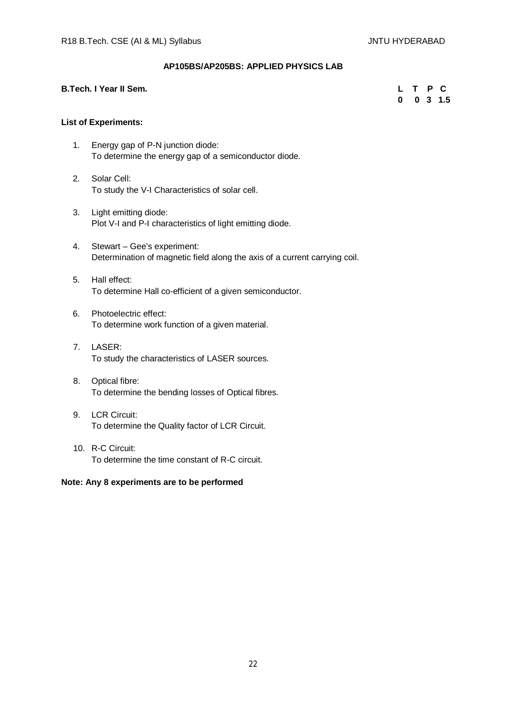## **AP105BS/AP205BS: APPLIED PHYSICS LAB**

### **B.Tech. I Year II Sem.**

|  |  | L T P C     |
|--|--|-------------|
|  |  | $0$ 0 3 1.5 |

## **List of Experiments:**

- 1. Energy gap of P-N junction diode: To determine the energy gap of a semiconductor diode.
- 2. Solar Cell: To study the V-I Characteristics of solar cell.
- 3. Light emitting diode: Plot V-I and P-I characteristics of light emitting diode.
- 4. Stewart Gee's experiment: Determination of magnetic field along the axis of a current carrying coil.
- 5. Hall effect: To determine Hall co-efficient of a given semiconductor.
- 6. Photoelectric effect: To determine work function of a given material.
- 7. LASER: To study the characteristics of LASER sources.
- 8. Optical fibre: To determine the bending losses of Optical fibres.
- 9. LCR Circuit: To determine the Quality factor of LCR Circuit.
- 10. R-C Circuit: To determine the time constant of R-C circuit.

## **Note: Any 8 experiments are to be performed**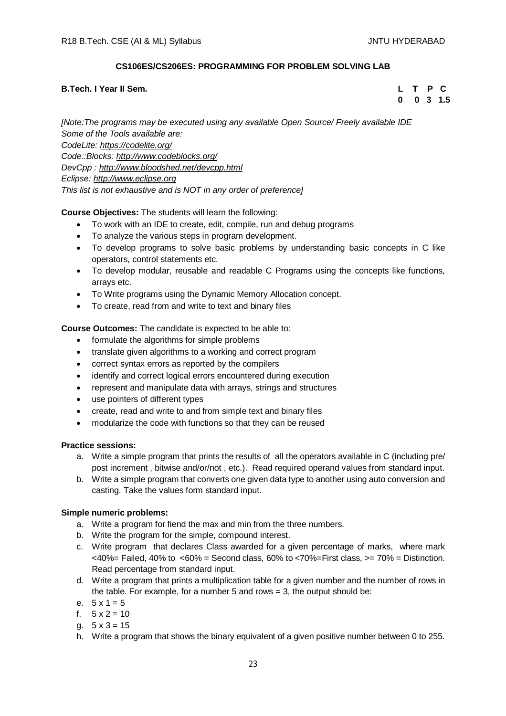## **CS106ES/CS206ES: PROGRAMMING FOR PROBLEM SOLVING LAB**

## **B.Tech. I Year II Sem. L T P C**

 **0 0 3 1.5**

*[Note:The programs may be executed using any available Open Source/ Freely available IDE Some of the Tools available are: CodeLite: <https://codelite.org/> Code::Blocks: <http://www.codeblocks.org/> DevCpp : <http://www.bloodshed.net/devcpp.html> Eclipse: <http://www.eclipse.org> This list is not exhaustive and is NOT in any order of preference]*

## **Course Objectives:** The students will learn the following:

- To work with an IDE to create, edit, compile, run and debug programs
- To analyze the various steps in program development.
- To develop programs to solve basic problems by understanding basic concepts in C like operators, control statements etc.
- To develop modular, reusable and readable C Programs using the concepts like functions, arrays etc.
- To Write programs using the Dynamic Memory Allocation concept.
- To create, read from and write to text and binary files

## **Course Outcomes:** The candidate is expected to be able to:

- formulate the algorithms for simple problems
- translate given algorithms to a working and correct program
- correct syntax errors as reported by the compilers
- identify and correct logical errors encountered during execution
- represent and manipulate data with arrays, strings and structures
- use pointers of different types
- create, read and write to and from simple text and binary files
- modularize the code with functions so that they can be reused

## **Practice sessions:**

- a. Write a simple program that prints the results of all the operators available in C (including pre/ post increment , bitwise and/or/not , etc.). Read required operand values from standard input.
- b. Write a simple program that converts one given data type to another using auto conversion and casting. Take the values form standard input.

## **Simple numeric problems:**

- a. Write a program for fiend the max and min from the three numbers.
- b. Write the program for the simple, compound interest.
- c. Write program that declares Class awarded for a given percentage of marks, where mark  $<40\%$  = Failed, 40% to  $<60\%$  = Second class, 60% to  $<70\%$  = First class,  $>=70\%$  = Distinction. Read percentage from standard input.
- d. Write a program that prints a multiplication table for a given number and the number of rows in the table. For example, for a number 5 and rows  $= 3$ , the output should be:
- e.  $5 \times 1 = 5$
- f.  $5 \times 2 = 10$
- a.  $5 \times 3 = 15$
- h. Write a program that shows the binary equivalent of a given positive number between 0 to 255.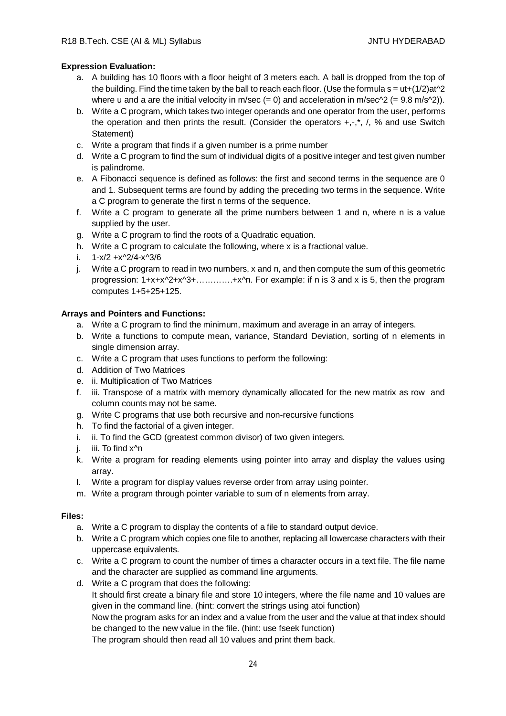## **Expression Evaluation:**

- a. A building has 10 floors with a floor height of 3 meters each. A ball is dropped from the top of the building. Find the time taken by the ball to reach each floor. (Use the formula  $s = ut+(1/2)at^2$ where u and a are the initial velocity in m/sec  $(= 0)$  and acceleration in m/sec $\gamma$ 2  $(= 9.8 \text{ m/s} \gamma$ 2)).
- b. Write a C program, which takes two integer operands and one operator from the user, performs the operation and then prints the result. (Consider the operators  $+,$ , $^*$ , $',$ , % and use Switch Statement)
- c. Write a program that finds if a given number is a prime number
- d. Write a C program to find the sum of individual digits of a positive integer and test given number is palindrome.
- e. A Fibonacci sequence is defined as follows: the first and second terms in the sequence are 0 and 1. Subsequent terms are found by adding the preceding two terms in the sequence. Write a C program to generate the first n terms of the sequence.
- f. Write a C program to generate all the prime numbers between 1 and n, where n is a value supplied by the user.
- g. Write a C program to find the roots of a Quadratic equation.
- h. Write a C program to calculate the following, where x is a fractional value.
- i.  $1-x/2 +x^2/4-x^3/6$
- j. Write a C program to read in two numbers, x and n, and then compute the sum of this geometric progression: 1+x+x^2+x^3+………….+x^n. For example: if n is 3 and x is 5, then the program computes 1+5+25+125.

## **Arrays and Pointers and Functions:**

- a. Write a C program to find the minimum, maximum and average in an array of integers.
- b. Write a functions to compute mean, variance, Standard Deviation, sorting of n elements in single dimension array.
- c. Write a C program that uses functions to perform the following:
- d. Addition of Two Matrices
- e. ii. Multiplication of Two Matrices
- f. iii. Transpose of a matrix with memory dynamically allocated for the new matrix as row and column counts may not be same.
- g. Write C programs that use both recursive and non-recursive functions
- h. To find the factorial of a given integer.
- i. ii. To find the GCD (greatest common divisor) of two given integers.
- j. iii. To find x<sup>^</sup>n
- k. Write a program for reading elements using pointer into array and display the values using array.
- l. Write a program for display values reverse order from array using pointer.
- m. Write a program through pointer variable to sum of n elements from array.

## **Files:**

- a. Write a C program to display the contents of a file to standard output device.
- b. Write a C program which copies one file to another, replacing all lowercase characters with their uppercase equivalents.
- c. Write a C program to count the number of times a character occurs in a text file. The file name and the character are supplied as command line arguments.
- d. Write a C program that does the following: It should first create a binary file and store 10 integers, where the file name and 10 values are given in the command line. (hint: convert the strings using atoi function)

Now the program asks for an index and a value from the user and the value at that index should be changed to the new value in the file. (hint: use fseek function)

The program should then read all 10 values and print them back.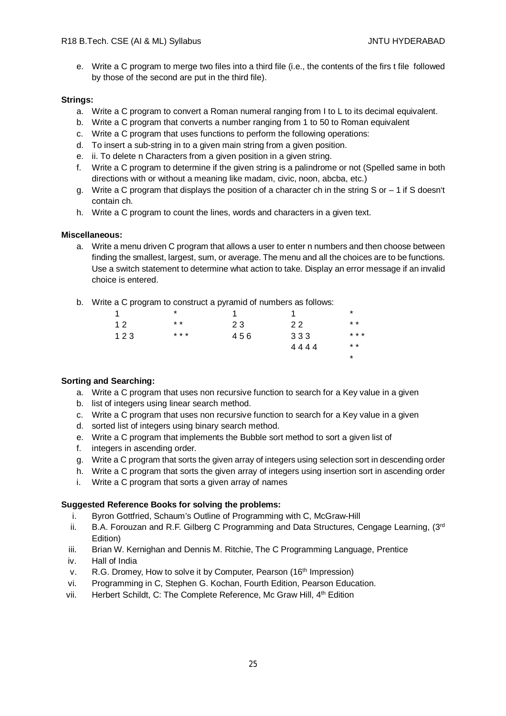e. Write a C program to merge two files into a third file (i.e., the contents of the firs t file followed by those of the second are put in the third file).

### **Strings:**

- a. Write a C program to convert a Roman numeral ranging from I to L to its decimal equivalent.
- b. Write a C program that converts a number ranging from 1 to 50 to Roman equivalent
- c. Write a C program that uses functions to perform the following operations:
- d. To insert a sub-string in to a given main string from a given position.
- e. ii. To delete n Characters from a given position in a given string.
- f. Write a C program to determine if the given string is a palindrome or not (Spelled same in both directions with or without a meaning like madam, civic, noon, abcba, etc.)
- g. Write a C program that displays the position of a character ch in the string S or  $-1$  if S doesn't contain ch.
- h. Write a C program to count the lines, words and characters in a given text.

### **Miscellaneous:**

a. Write a menu driven C program that allows a user to enter n numbers and then choose between finding the smallest, largest, sum, or average. The menu and all the choices are to be functions. Use a switch statement to determine what action to take. Display an error message if an invalid choice is entered.

\*

b. Write a C program to construct a pyramid of numbers as follows:

| 1   | $\star$ |     |      | $\star$         |
|-----|---------|-----|------|-----------------|
| 12  | $* *$   | 23  | 22   | $\star$ $\star$ |
| 123 | * * *   | 456 | 333  | * * *           |
|     |         |     | 4444 | $* *$           |

## **Sorting and Searching:**

- a. Write a C program that uses non recursive function to search for a Key value in a given
- b. list of integers using linear search method.
- c. Write a C program that uses non recursive function to search for a Key value in a given
- d. sorted list of integers using binary search method.
- e. Write a C program that implements the Bubble sort method to sort a given list of
- f. integers in ascending order.
- g. Write a C program that sorts the given array of integers using selection sort in descending order
- h. Write a C program that sorts the given array of integers using insertion sort in ascending order
- i. Write a C program that sorts a given array of names

## **Suggested Reference Books for solving the problems:**

- i. Byron Gottfried, Schaum's Outline of Programming with C, McGraw-Hill
- ii. B.A. Forouzan and R.F. Gilberg C Programming and Data Structures, Cengage Learning,  $(3<sup>rd</sup>$ Edition)
- iii. Brian W. Kernighan and Dennis M. Ritchie, The C Programming Language, Prentice
- iv. Hall of India
- v. R.G. Dromey, How to solve it by Computer, Pearson (16<sup>th</sup> Impression)
- vi. Programming in C, Stephen G. Kochan, Fourth Edition, Pearson Education.
- vii. Herbert Schildt, C: The Complete Reference, Mc Graw Hill, 4th Edition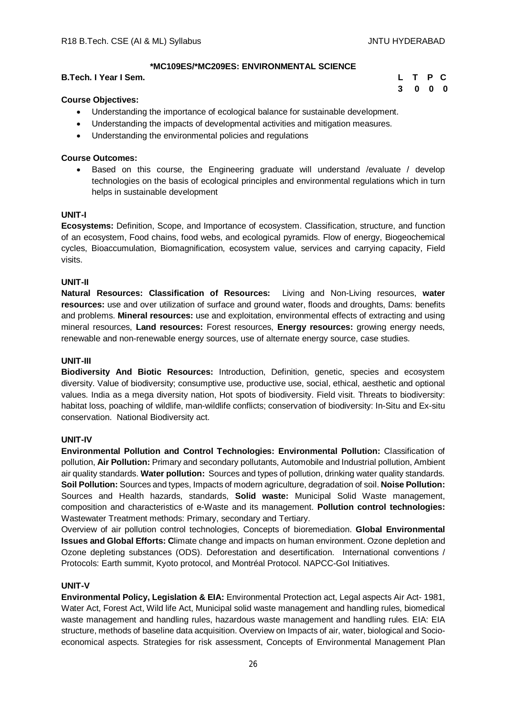**3 0 0 0**

## **\*MC109ES/\*MC209ES: ENVIRONMENTAL SCIENCE**

## **B.Tech. I Year I Sem. L T P C**

### **Course Objectives:**

- Understanding the importance of ecological balance for sustainable development.
- Understanding the impacts of developmental activities and mitigation measures.
- Understanding the environmental policies and regulations

### **Course Outcomes:**

 Based on this course, the Engineering graduate will understand /evaluate / develop technologies on the basis of ecological principles and environmental regulations which in turn helps in sustainable development

#### **UNIT-I**

**Ecosystems:** Definition, Scope, and Importance of ecosystem. Classification, structure, and function of an ecosystem, Food chains, food webs, and ecological pyramids. Flow of energy, Biogeochemical cycles, Bioaccumulation, Biomagnification, ecosystem value, services and carrying capacity, Field visits.

### **UNIT-II**

**Natural Resources: Classification of Resources:** Living and Non-Living resources, **water resources:** use and over utilization of surface and ground water, floods and droughts, Dams: benefits and problems. **Mineral resources:** use and exploitation, environmental effects of extracting and using mineral resources, **Land resources:** Forest resources, **Energy resources:** growing energy needs, renewable and non-renewable energy sources, use of alternate energy source, case studies.

#### **UNIT-III**

**Biodiversity And Biotic Resources:** Introduction, Definition, genetic, species and ecosystem diversity. Value of biodiversity; consumptive use, productive use, social, ethical, aesthetic and optional values. India as a mega diversity nation, Hot spots of biodiversity. Field visit. Threats to biodiversity: habitat loss, poaching of wildlife, man-wildlife conflicts; conservation of biodiversity: In-Situ and Ex-situ conservation. National Biodiversity act.

#### **UNIT-IV**

**Environmental Pollution and Control Technologies: Environmental Pollution:** Classification of pollution, **Air Pollution:** Primary and secondary pollutants, Automobile and Industrial pollution, Ambient air quality standards. **Water pollution:** Sources and types of pollution, drinking water quality standards. **Soil Pollution:** Sources and types, Impacts of modern agriculture, degradation of soil. **Noise Pollution:**  Sources and Health hazards, standards, **Solid waste:** Municipal Solid Waste management, composition and characteristics of e-Waste and its management. **Pollution control technologies:** Wastewater Treatment methods: Primary, secondary and Tertiary.

Overview of air pollution control technologies, Concepts of bioremediation. **Global Environmental Issues and Global Efforts: C**limate change and impacts on human environment. Ozone depletion and Ozone depleting substances (ODS). Deforestation and desertification. International conventions / Protocols: Earth summit, Kyoto protocol, and Montréal Protocol. NAPCC-GoI Initiatives.

#### **UNIT-V**

**Environmental Policy, Legislation & EIA:** Environmental Protection act, Legal aspects Air Act- 1981, Water Act, Forest Act, Wild life Act, Municipal solid waste management and handling rules, biomedical waste management and handling rules, hazardous waste management and handling rules. EIA: EIA structure, methods of baseline data acquisition. Overview on Impacts of air, water, biological and Socioeconomical aspects. Strategies for risk assessment, Concepts of Environmental Management Plan